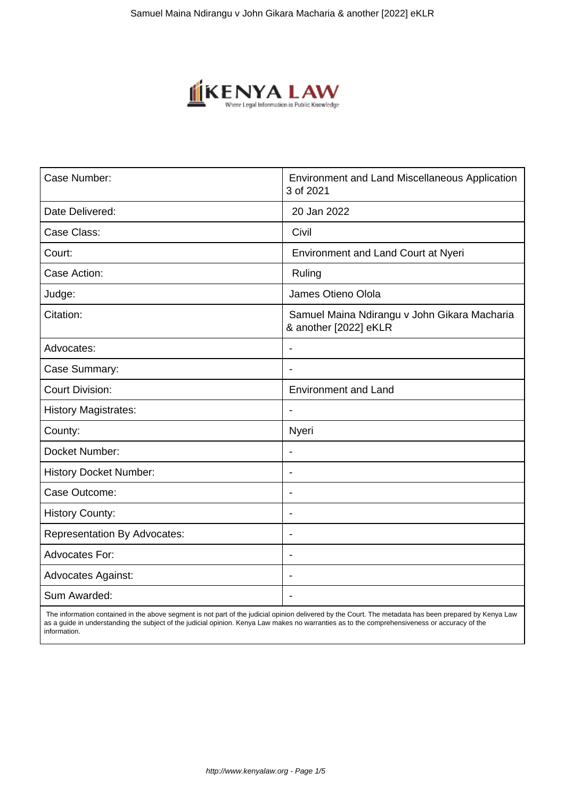

| Case Number:                        | Environment and Land Miscellaneous Application<br>3 of 2021           |
|-------------------------------------|-----------------------------------------------------------------------|
| Date Delivered:                     | 20 Jan 2022                                                           |
| Case Class:                         | Civil                                                                 |
| Court:                              | Environment and Land Court at Nyeri                                   |
| Case Action:                        | Ruling                                                                |
| Judge:                              | James Otieno Olola                                                    |
| Citation:                           | Samuel Maina Ndirangu v John Gikara Macharia<br>& another [2022] eKLR |
| Advocates:                          | ٠                                                                     |
| Case Summary:                       | $\qquad \qquad \blacksquare$                                          |
| <b>Court Division:</b>              | <b>Environment and Land</b>                                           |
| <b>History Magistrates:</b>         | $\overline{a}$                                                        |
| County:                             | Nyeri                                                                 |
| Docket Number:                      | $\overline{\phantom{0}}$                                              |
| <b>History Docket Number:</b>       | $\blacksquare$                                                        |
| Case Outcome:                       | $\blacksquare$                                                        |
| <b>History County:</b>              | ۰                                                                     |
| <b>Representation By Advocates:</b> | $\overline{\phantom{0}}$                                              |
| <b>Advocates For:</b>               | Ĭ.                                                                    |
| <b>Advocates Against:</b>           | $\blacksquare$                                                        |
| Sum Awarded:                        |                                                                       |

 The information contained in the above segment is not part of the judicial opinion delivered by the Court. The metadata has been prepared by Kenya Law as a guide in understanding the subject of the judicial opinion. Kenya Law makes no warranties as to the comprehensiveness or accuracy of the information.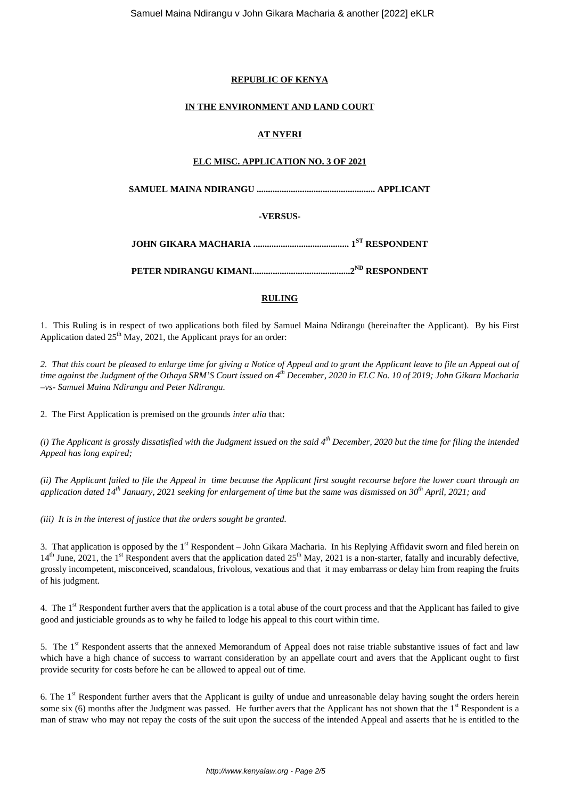## **REPUBLIC OF KENYA**

## **IN THE ENVIRONMENT AND LAND COURT**

# **AT NYERI**

## **ELC MISC. APPLICATION NO. 3 OF 2021**

**SAMUEL MAINA NDIRANGU .................................................... APPLICANT**

# **-VERSUS-**

**JOHN GIKARA MACHARIA .......................................... 1ST RESPONDENT**

**PETER NDIRANGU KIMANI...........................................2ND RESPONDENT**

# **RULING**

1. This Ruling is in respect of two applications both filed by Samuel Maina Ndirangu (hereinafter the Applicant). By his First Application dated  $25<sup>th</sup>$  May, 2021, the Applicant prays for an order:

*2. That this court be pleased to enlarge time for giving a Notice of Appeal and to grant the Applicant leave to file an Appeal out of time against the Judgment of the Othaya SRM'S Court issued on 4th December, 2020 in ELC No. 10 of 2019; John Gikara Macharia –vs- Samuel Maina Ndirangu and Peter Ndirangu.*

2. The First Application is premised on the grounds *inter alia* that:

*(i) The Applicant is grossly dissatisfied with the Judgment issued on the said 4th December, 2020 but the time for filing the intended Appeal has long expired;*

*(ii) The Applicant failed to file the Appeal in time because the Applicant first sought recourse before the lower court through an application dated 14th January, 2021 seeking for enlargement of time but the same was dismissed on 30th April, 2021; and*

*(iii) It is in the interest of justice that the orders sought be granted.*

3. That application is opposed by the  $1<sup>st</sup>$  Respondent – John Gikara Macharia. In his Replying Affidavit sworn and filed herein on  $14<sup>th</sup>$  June, 2021, the 1<sup>st</sup> Respondent avers that the application dated  $25<sup>th</sup>$  May, 2021 is a non-starter, fatally and incurably defective, grossly incompetent, misconceived, scandalous, frivolous, vexatious and that it may embarrass or delay him from reaping the fruits of his judgment.

4. The 1<sup>st</sup> Respondent further avers that the application is a total abuse of the court process and that the Applicant has failed to give good and justiciable grounds as to why he failed to lodge his appeal to this court within time.

5. The 1<sup>st</sup> Respondent asserts that the annexed Memorandum of Appeal does not raise triable substantive issues of fact and law which have a high chance of success to warrant consideration by an appellate court and avers that the Applicant ought to first provide security for costs before he can be allowed to appeal out of time.

6. The 1st Respondent further avers that the Applicant is guilty of undue and unreasonable delay having sought the orders herein some six  $(6)$  months after the Judgment was passed. He further avers that the Applicant has not shown that the  $1<sup>st</sup>$  Respondent is a man of straw who may not repay the costs of the suit upon the success of the intended Appeal and asserts that he is entitled to the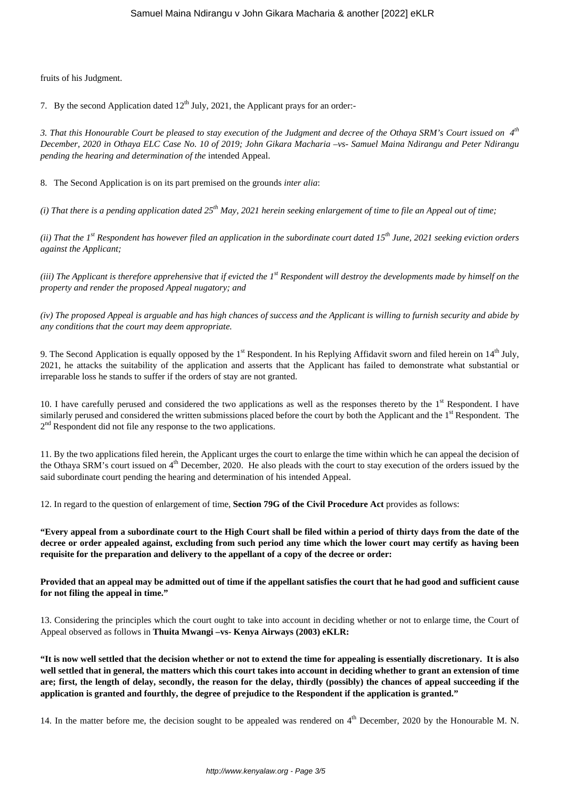fruits of his Judgment.

7. By the second Application dated  $12<sup>th</sup>$  July, 2021, the Applicant prays for an order:-

*3. That this Honourable Court be pleased to stay execution of the Judgment and decree of the Othaya SRM's Court issued on 4th December, 2020 in Othaya ELC Case No. 10 of 2019; John Gikara Macharia –vs- Samuel Maina Ndirangu and Peter Ndirangu pending the hearing and determination of the* intended Appeal.

8. The Second Application is on its part premised on the grounds *inter alia*:

*(i) That there is a pending application dated 25th May, 2021 herein seeking enlargement of time to file an Appeal out of time;*

*(ii) That the 1st Respondent has however filed an application in the subordinate court dated 15th June, 2021 seeking eviction orders against the Applicant;*

*(iii) The Applicant is therefore apprehensive that if evicted the 1st Respondent will destroy the developments made by himself on the property and render the proposed Appeal nugatory; and*

*(iv) The proposed Appeal is arguable and has high chances of success and the Applicant is willing to furnish security and abide by any conditions that the court may deem appropriate.*

9. The Second Application is equally opposed by the  $1<sup>st</sup>$  Respondent. In his Replying Affidavit sworn and filed herein on  $14<sup>th</sup>$  July, 2021, he attacks the suitability of the application and asserts that the Applicant has failed to demonstrate what substantial or irreparable loss he stands to suffer if the orders of stay are not granted.

10. I have carefully perused and considered the two applications as well as the responses thereto by the  $1<sup>st</sup>$  Respondent. I have similarly perused and considered the written submissions placed before the court by both the Applicant and the 1<sup>st</sup> Respondent. The 2<sup>nd</sup> Respondent did not file any response to the two applications.

11. By the two applications filed herein, the Applicant urges the court to enlarge the time within which he can appeal the decision of the Othaya SRM's court issued on  $4<sup>th</sup>$  December, 2020. He also pleads with the court to stay execution of the orders issued by the said subordinate court pending the hearing and determination of his intended Appeal.

12. In regard to the question of enlargement of time, **Section 79G of the Civil Procedure Act** provides as follows:

**"Every appeal from a subordinate court to the High Court shall be filed within a period of thirty days from the date of the decree or order appealed against, excluding from such period any time which the lower court may certify as having been requisite for the preparation and delivery to the appellant of a copy of the decree or order:**

**Provided that an appeal may be admitted out of time if the appellant satisfies the court that he had good and sufficient cause for not filing the appeal in time."**

13. Considering the principles which the court ought to take into account in deciding whether or not to enlarge time, the Court of Appeal observed as follows in **Thuita Mwangi –vs- Kenya Airways (2003) eKLR:**

**"It is now well settled that the decision whether or not to extend the time for appealing is essentially discretionary. It is also well settled that in general, the matters which this court takes into account in deciding whether to grant an extension of time are; first, the length of delay, secondly, the reason for the delay, thirdly (possibly) the chances of appeal succeeding if the application is granted and fourthly, the degree of prejudice to the Respondent if the application is granted."**

14. In the matter before me, the decision sought to be appealed was rendered on  $4<sup>th</sup>$  December, 2020 by the Honourable M. N.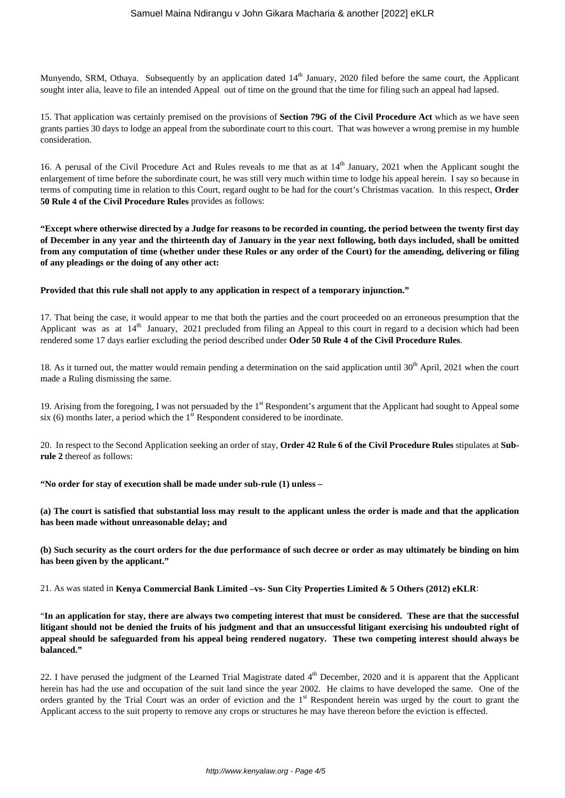Munyendo, SRM, Othaya. Subsequently by an application dated 14<sup>th</sup> January, 2020 filed before the same court, the Applicant sought inter alia, leave to file an intended Appeal out of time on the ground that the time for filing such an appeal had lapsed.

15. That application was certainly premised on the provisions of **Section 79G of the Civil Procedure Act** which as we have seen grants parties 30 days to lodge an appeal from the subordinate court to this court. That was however a wrong premise in my humble consideration.

16. A perusal of the Civil Procedure Act and Rules reveals to me that as at  $14<sup>th</sup>$  January, 2021 when the Applicant sought the enlargement of time before the subordinate court, he was still very much within time to lodge his appeal herein. I say so because in terms of computing time in relation to this Court, regard ought to be had for the court's Christmas vacation. In this respect, **Order 50 Rule 4 of the Civil Procedure Rules** provides as follows:

**"Except where otherwise directed by a Judge for reasons to be recorded in counting, the period between the twenty first day of December in any year and the thirteenth day of January in the year next following, both days included, shall be omitted from any computation of time (whether under these Rules or any order of the Court) for the amending, delivering or filing of any pleadings or the doing of any other act:**

#### **Provided that this rule shall not apply to any application in respect of a temporary injunction."**

17. That being the case, it would appear to me that both the parties and the court proceeded on an erroneous presumption that the Applicant was as at  $14<sup>th</sup>$  January, 2021 precluded from filing an Appeal to this court in regard to a decision which had been rendered some 17 days earlier excluding the period described under **Oder 50 Rule 4 of the Civil Procedure Rules**.

18. As it turned out, the matter would remain pending a determination on the said application until  $30<sup>th</sup>$  April, 2021 when the court made a Ruling dismissing the same.

19. Arising from the foregoing, I was not persuaded by the 1<sup>st</sup> Respondent's argument that the Applicant had sought to Appeal some six (6) months later, a period which the  $1<sup>st</sup>$  Respondent considered to be inordinate.

20. In respect to the Second Application seeking an order of stay, **Order 42 Rule 6 of the Civil Procedure Rules** stipulates at **Subrule 2** thereof as follows:

**"No order for stay of execution shall be made under sub-rule (1) unless –**

**(a) The court is satisfied that substantial loss may result to the applicant unless the order is made and that the application has been made without unreasonable delay; and**

**(b) Such security as the court orders for the due performance of such decree or order as may ultimately be binding on him has been given by the applicant."**

21. As was stated in **Kenya Commercial Bank Limited –vs- Sun City Properties Limited & 5 Others (2012) eKLR**:

"**In an application for stay, there are always two competing interest that must be considered. These are that the successful litigant should not be denied the fruits of his judgment and that an unsuccessful litigant exercising his undoubted right of appeal should be safeguarded from his appeal being rendered nugatory. These two competing interest should always be balanced."**

22. I have perused the judgment of the Learned Trial Magistrate dated  $4<sup>th</sup>$  December, 2020 and it is apparent that the Applicant herein has had the use and occupation of the suit land since the year 2002. He claims to have developed the same. One of the orders granted by the Trial Court was an order of eviction and the 1st Respondent herein was urged by the court to grant the Applicant access to the suit property to remove any crops or structures he may have thereon before the eviction is effected.